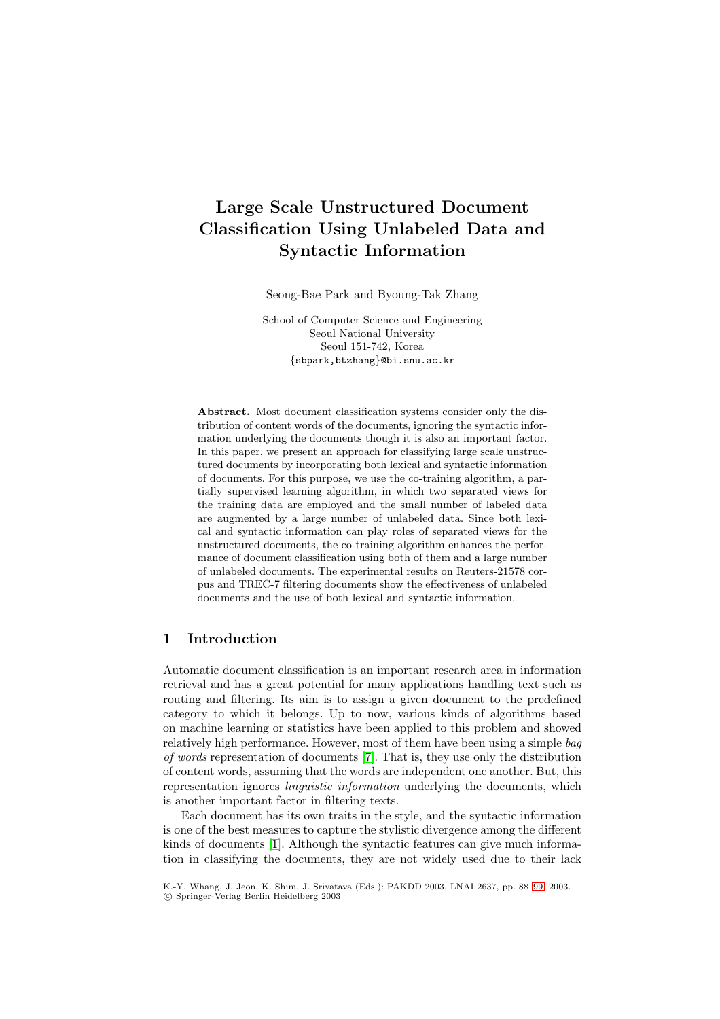# **Large Scale Unstructured Document Classification Using Unlabeled Data and Syntactic Information**

Seong-Bae Park and Byoung-Tak Zhang

School of Computer Science and Engineering Seoul National University Seoul 151-742, Korea {sbpark,btzhang}@bi.snu.ac.kr

**Abstract.** Most document classification systems consider only the distribution of content words of the documents, ignoring the syntactic information underlying the documents though it is also an important factor. In this paper, we present an approach for classifying large scale unstructured documents by incorporating both lexical and syntactic information of documents. For this purpose, we use the co-training algorithm, a partially supervised learning algorithm, in which two separated views for the training data are employed and the small number of labeled data are augmented by a large number of unlabeled data. Since both lexical and syntactic information can play roles of separated views for the unstructured documents, the co-training algorithm enhances the performance of document classification using both of them and a large number of unlabeled documents. The experimental results on Reuters-21578 corpus and TREC-7 filtering documents show the effectiveness of unlabeled documents and the use of both lexical and syntactic information.

# **1 Introduction**

Automatic document classification is an important research area in information retrieval and has a great potential for many applications handling text such as routing and filtering. Its aim is to assign a given document to the predefined category to which it belongs. Up to now, various kinds of algorithms based on machine learning or statistics have been applied to this problem and showed relatively high performance. However, most of them have been using a simple *bag of words* representation of documents [\[7\]](#page-11-0). That is, they use only the distribution of content words, assuming that the words are independent one another. But, this representation ignores *linguistic information* underlying the documents, which is another important factor in filtering texts.

Each document has its own traits in the style, and the syntactic information is one of the best measures to capture the stylistic divergence among the different kinds of documents [\[1\]](#page-11-0). Although the syntactic features can give much information in classifying the documents, they are not widely used due to their lack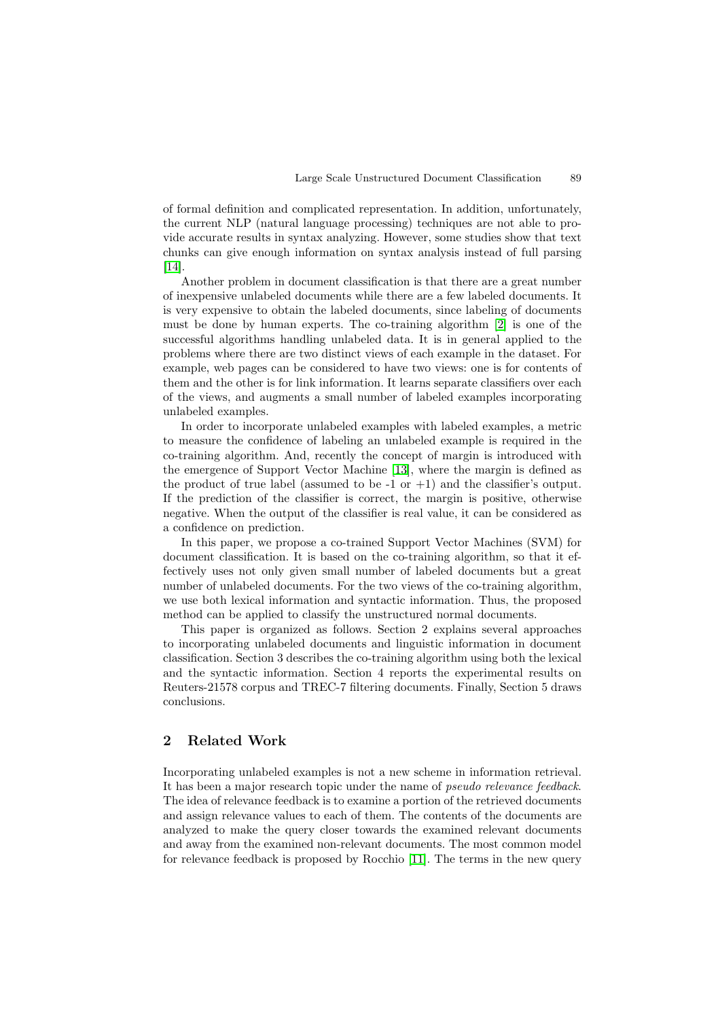of formal definition and complicated representation. In addition, unfortunately, the current NLP (natural language processing) techniques are not able to provide accurate results in syntax analyzing. However, some studies show that text chunks can give enough information on syntax analysis instead of full parsing [\[14\]](#page-11-0).

Another problem in document classification is that there are a great number of inexpensive unlabeled documents while there are a few labeled documents. It is very expensive to obtain the labeled documents, since labeling of documents must be done by human experts. The co-training algorithm [\[2\]](#page-11-0) is one of the successful algorithms handling unlabeled data. It is in general applied to the problems where there are two distinct views of each example in the dataset. For example, web pages can be considered to have two views: one is for contents of them and the other is for link information. It learns separate classifiers over each of the views, and augments a small number of labeled examples incorporating unlabeled examples.

In order to incorporate unlabeled examples with labeled examples, a metric to measure the confidence of labeling an unlabeled example is required in the co-training algorithm. And, recently the concept of margin is introduced with the emergence of Support Vector Machine [\[13\]](#page-11-0), where the margin is defined as the product of true label (assumed to be  $-1$  or  $+1$ ) and the classifier's output. If the prediction of the classifier is correct, the margin is positive, otherwise negative. When the output of the classifier is real value, it can be considered as a confidence on prediction.

In this paper, we propose a co-trained Support Vector Machines (SVM) for document classification. It is based on the co-training algorithm, so that it effectively uses not only given small number of labeled documents but a great number of unlabeled documents. For the two views of the co-training algorithm, we use both lexical information and syntactic information. Thus, the proposed method can be applied to classify the unstructured normal documents.

This paper is organized as follows. Section 2 explains several approaches to incorporating unlabeled documents and linguistic information in document classification. Section 3 describes the co-training algorithm using both the lexical and the syntactic information. Section 4 reports the experimental results on Reuters-21578 corpus and TREC-7 filtering documents. Finally, Section 5 draws conclusions.

# **2 Related Work**

Incorporating unlabeled examples is not a new scheme in information retrieval. It has been a major research topic under the name of *pseudo relevance feedback*. The idea of relevance feedback is to examine a portion of the retrieved documents and assign relevance values to each of them. The contents of the documents are analyzed to make the query closer towards the examined relevant documents and away from the examined non-relevant documents. The most common model for relevance feedback is proposed by Rocchio [\[11\]](#page-11-0). The terms in the new query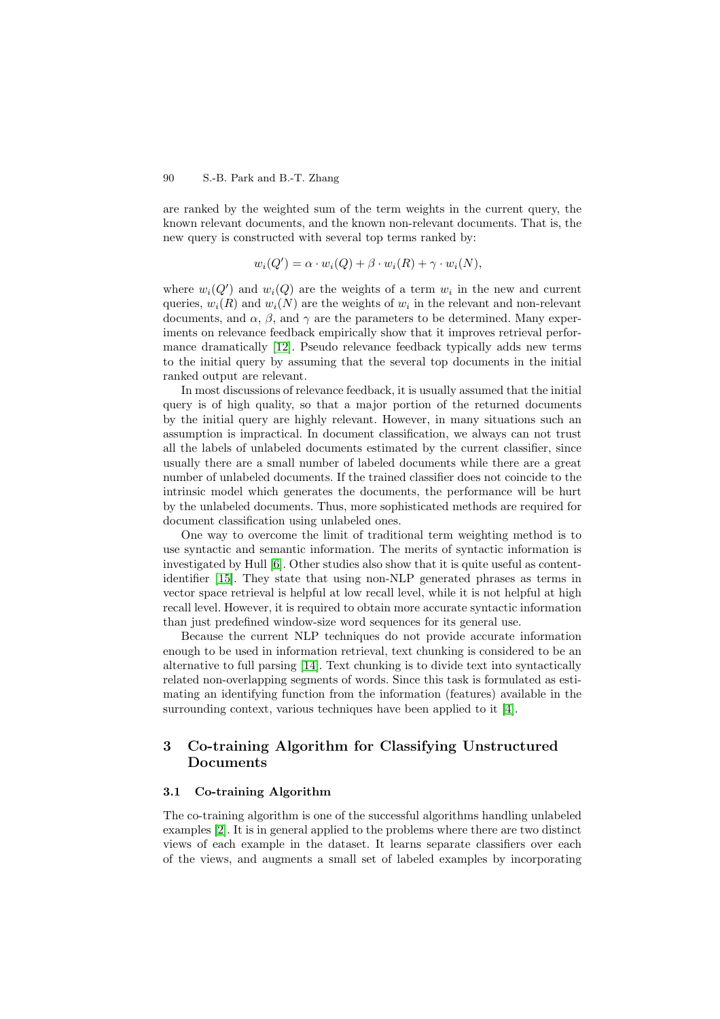are ranked by the weighted sum of the term weights in the current query, the known relevant documents, and the known non-relevant documents. That is, the new query is constructed with several top terms ranked by:

$$
w_i(Q') = \alpha \cdot w_i(Q) + \beta \cdot w_i(R) + \gamma \cdot w_i(N),
$$

where  $w_i(Q')$  and  $w_i(Q)$  are the weights of a term  $w_i$  in the new and current queries,  $w_i(R)$  and  $w_i(N)$  are the weights of  $w_i$  in the relevant and non-relevant documents, and  $\alpha$ ,  $\beta$ , and  $\gamma$  are the parameters to be determined. Many experiments on relevance feedback empirically show that it improves retrieval performance dramatically [\[12\]](#page-11-0). Pseudo relevance feedback typically adds new terms to the initial query by assuming that the several top documents in the initial ranked output are relevant.

In most discussions of relevance feedback, it is usually assumed that the initial query is of high quality, so that a major portion of the returned documents by the initial query are highly relevant. However, in many situations such an assumption is impractical. In document classification, we always can not trust all the labels of unlabeled documents estimated by the current classifier, since usually there are a small number of labeled documents while there are a great number of unlabeled documents. If the trained classifier does not coincide to the intrinsic model which generates the documents, the performance will be hurt by the unlabeled documents. Thus, more sophisticated methods are required for document classification using unlabeled ones.

One way to overcome the limit of traditional term weighting method is to use syntactic and semantic information. The merits of syntactic information is investigated by Hull [\[6\]](#page-11-0). Other studies also show that it is quite useful as contentidentifier [\[15\]](#page-11-0). They state that using non-NLP generated phrases as terms in vector space retrieval is helpful at low recall level, while it is not helpful at high recall level. However, it is required to obtain more accurate syntactic information than just predefined window-size word sequences for its general use.

Because the current NLP techniques do not provide accurate information enough to be used in information retrieval, text chunking is considered to be an alternative to full parsing [\[14\]](#page-11-0). Text chunking is to divide text into syntactically related non-overlapping segments of words. Since this task is formulated as estimating an identifying function from the information (features) available in the surrounding context, various techniques have been applied to it [\[4\]](#page-11-0).

# **3 Co-training Algorithm for Classifying Unstructured Documents**

#### **3.1 Co-training Algorithm**

The co-training algorithm is one of the successful algorithms handling unlabeled examples [\[2\]](#page-11-0). It is in general applied to the problems where there are two distinct views of each example in the dataset. It learns separate classifiers over each of the views, and augments a small set of labeled examples by incorporating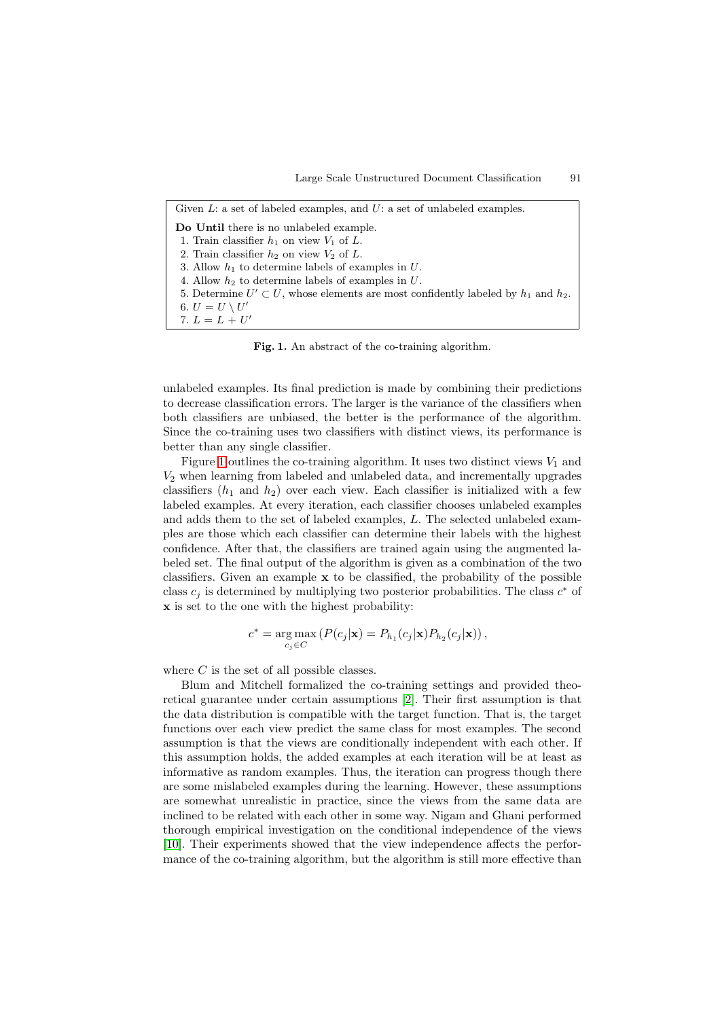Given  $L:$  a set of labeled examples, and  $U:$  a set of unlabeled examples.

- **Do Until** there is no unlabeled example.
	- 1. Train classifier  $h_1$  on view  $V_1$  of  $L$ .
- 2. Train classifier  $h_2$  on view  $V_2$  of L.
- 3. Allow  $h_1$  to determine labels of examples in  $U$ .
- 4. Allow  $h_2$  to determine labels of examples in  $U$ .
- 5. Determine  $U' \subset U$ , whose elements are most confidently labeled by  $h_1$  and  $h_2$ .
- 6.  $U = U \setminus U'$
- 7.  $L = L + U'$

**Fig. 1.** An abstract of the co-training algorithm.

unlabeled examples. Its final prediction is made by combining their predictions to decrease classification errors. The larger is the variance of the classifiers when both classifiers are unbiased, the better is the performance of the algorithm. Since the co-training uses two classifiers with distinct views, its performance is better than any single classifier.

Figure 1 outlines the co-training algorithm. It uses two distinct views  $V_1$  and  $V_2$  when learning from labeled and unlabeled data, and incrementally upgrades classifiers  $(h_1 \text{ and } h_2)$  over each view. Each classifier is initialized with a few labeled examples. At every iteration, each classifier chooses unlabeled examples and adds them to the set of labeled examples, L. The selected unlabeled examples are those which each classifier can determine their labels with the highest confidence. After that, the classifiers are trained again using the augmented labeled set. The final output of the algorithm is given as a combination of the two classifiers. Given an example **x** to be classified, the probability of the possible class  $c_i$  is determined by multiplying two posterior probabilities. The class  $c^*$  of **x** is set to the one with the highest probability:

$$
c^* = \underset{c_j \in C}{\arg \max} (P(c_j|\mathbf{x}) = P_{h_1}(c_j|\mathbf{x})P_{h_2}(c_j|\mathbf{x})),
$$

where  $C$  is the set of all possible classes.

Blum and Mitchell formalized the co-training settings and provided theoretical guarantee under certain assumptions [\[2\]](#page-11-0). Their first assumption is that the data distribution is compatible with the target function. That is, the target functions over each view predict the same class for most examples. The second assumption is that the views are conditionally independent with each other. If this assumption holds, the added examples at each iteration will be at least as informative as random examples. Thus, the iteration can progress though there are some mislabeled examples during the learning. However, these assumptions are somewhat unrealistic in practice, since the views from the same data are inclined to be related with each other in some way. Nigam and Ghani performed thorough empirical investigation on the conditional independence of the views [\[10\]](#page-11-0). Their experiments showed that the view independence affects the performance of the co-training algorithm, but the algorithm is still more effective than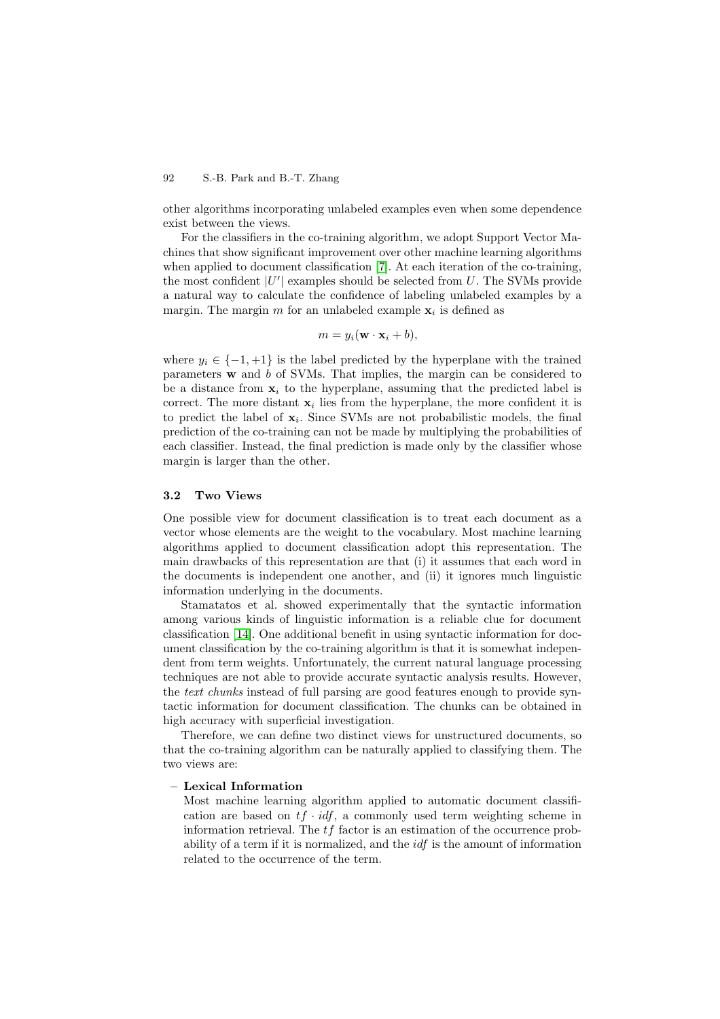other algorithms incorporating unlabeled examples even when some dependence exist between the views.

For the classifiers in the co-training algorithm, we adopt Support Vector Machines that show significant improvement over other machine learning algorithms when applied to document classification [\[7\]](#page-11-0). At each iteration of the co-training, the most confident  $|U'|$  examples should be selected from U. The SVMs provide a natural way to calculate the confidence of labeling unlabeled examples by a margin. The margin m for an unlabeled example  $x_i$  is defined as

$$
m = y_i(\mathbf{w} \cdot \mathbf{x}_i + b),
$$

where  $y_i \in \{-1, +1\}$  is the label predicted by the hyperplane with the trained parameters **w** and b of SVMs. That implies, the margin can be considered to be a distance from  $x_i$  to the hyperplane, assuming that the predicted label is correct. The more distant  $\mathbf{x}_i$  lies from the hyperplane, the more confident it is to predict the label of  $\mathbf{x}_i$ . Since SVMs are not probabilistic models, the final prediction of the co-training can not be made by multiplying the probabilities of each classifier. Instead, the final prediction is made only by the classifier whose margin is larger than the other.

#### **3.2 Two Views**

One possible view for document classification is to treat each document as a vector whose elements are the weight to the vocabulary. Most machine learning algorithms applied to document classification adopt this representation. The main drawbacks of this representation are that (i) it assumes that each word in the documents is independent one another, and (ii) it ignores much linguistic information underlying in the documents.

Stamatatos et al. showed experimentally that the syntactic information among various kinds of linguistic information is a reliable clue for document classification [\[14\]](#page-11-0). One additional benefit in using syntactic information for document classification by the co-training algorithm is that it is somewhat independent from term weights. Unfortunately, the current natural language processing techniques are not able to provide accurate syntactic analysis results. However, the *text chunks* instead of full parsing are good features enough to provide syntactic information for document classification. The chunks can be obtained in high accuracy with superficial investigation.

Therefore, we can define two distinct views for unstructured documents, so that the co-training algorithm can be naturally applied to classifying them. The two views are:

#### **– Lexical Information**

Most machine learning algorithm applied to automatic document classification are based on  $tf \cdot idf$ , a commonly used term weighting scheme in information retrieval. The  $tf$  factor is an estimation of the occurrence probability of a term if it is normalized, and the  $\mathcal{U}$  is the amount of information related to the occurrence of the term.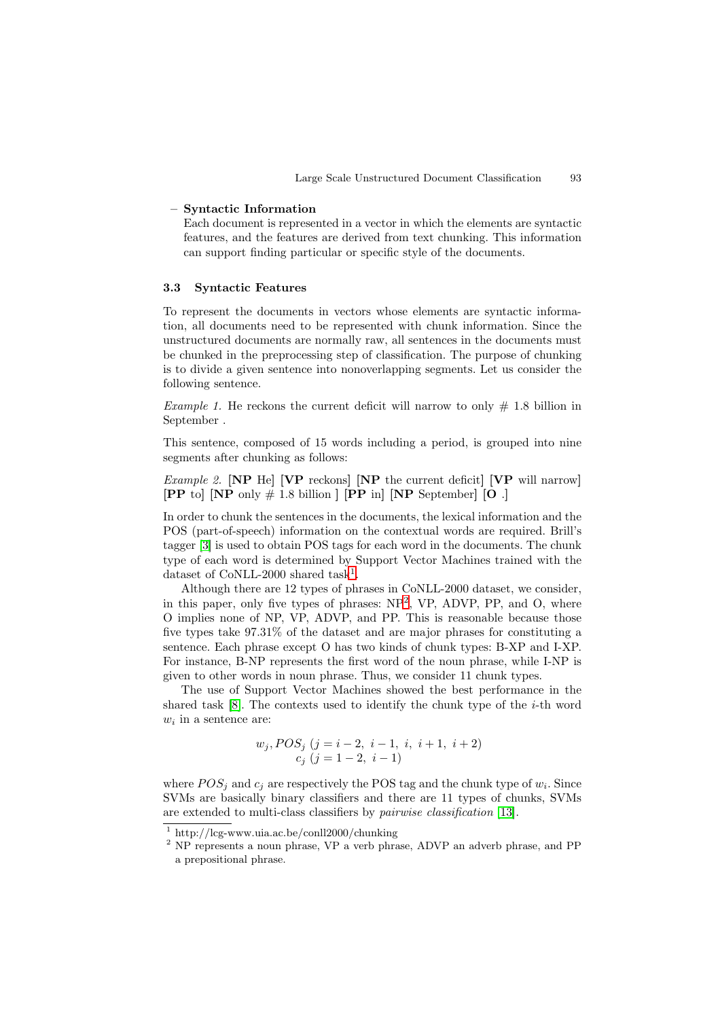#### **– Syntactic Information**

Each document is represented in a vector in which the elements are syntactic features, and the features are derived from text chunking. This information can support finding particular or specific style of the documents.

#### **3.3 Syntactic Features**

To represent the documents in vectors whose elements are syntactic information, all documents need to be represented with chunk information. Since the unstructured documents are normally raw, all sentences in the documents must be chunked in the preprocessing step of classification. The purpose of chunking is to divide a given sentence into nonoverlapping segments. Let us consider the following sentence.

*Example 1.* He reckons the current deficit will narrow to only  $# 1.8$  billion in September .

This sentence, composed of 15 words including a period, is grouped into nine segments after chunking as follows:

*Example 2.* **[NP** He**] [VP** reckons**] [NP** the current deficit**] [VP** will narrow**] [PP** to**] [NP** only # 1.8 billion **] [PP** in**] [NP** September**] [O** .**]**

In order to chunk the sentences in the documents, the lexical information and the POS (part-of-speech) information on the contextual words are required. Brill's tagger [\[3\]](#page-11-0) is used to obtain POS tags for each word in the documents. The chunk type of each word is determined by Support Vector Machines trained with the dataset of CoNLL-2000 shared task<sup>1</sup>.

Although there are 12 types of phrases in CoNLL-2000 dataset, we consider, in this paper, only five types of phrases:  $NP<sup>2</sup>$ , VP, ADVP, PP, and O, where O implies none of NP, VP, ADVP, and PP. This is reasonable because those five types take 97.31% of the dataset and are major phrases for constituting a sentence. Each phrase except O has two kinds of chunk types: B-XP and I-XP. For instance, B-NP represents the first word of the noun phrase, while I-NP is given to other words in noun phrase. Thus, we consider 11 chunk types.

The use of Support Vector Machines showed the best performance in the shared task  $[8]$ . The contexts used to identify the chunk type of the *i*-th word  $w_i$  in a sentence are:

$$
w_j, POS_j (j = i - 2, i - 1, i, i + 1, i + 2)
$$
  

$$
c_j (j = 1 - 2, i - 1)
$$

where  $POS<sub>j</sub>$  and  $c<sub>j</sub>$  are respectively the POS tag and the chunk type of  $w<sub>i</sub>$ . Since SVMs are basically binary classifiers and there are 11 types of chunks, SVMs are extended to multi-class classifiers by *pairwise classification* [\[13\]](#page-11-0).

 $1 \text{ http://lcg-www.uia.ac.be/conll2000/chunking)}$ 

<sup>2</sup> NP represents a noun phrase, VP a verb phrase, ADVP an adverb phrase, and PP a prepositional phrase.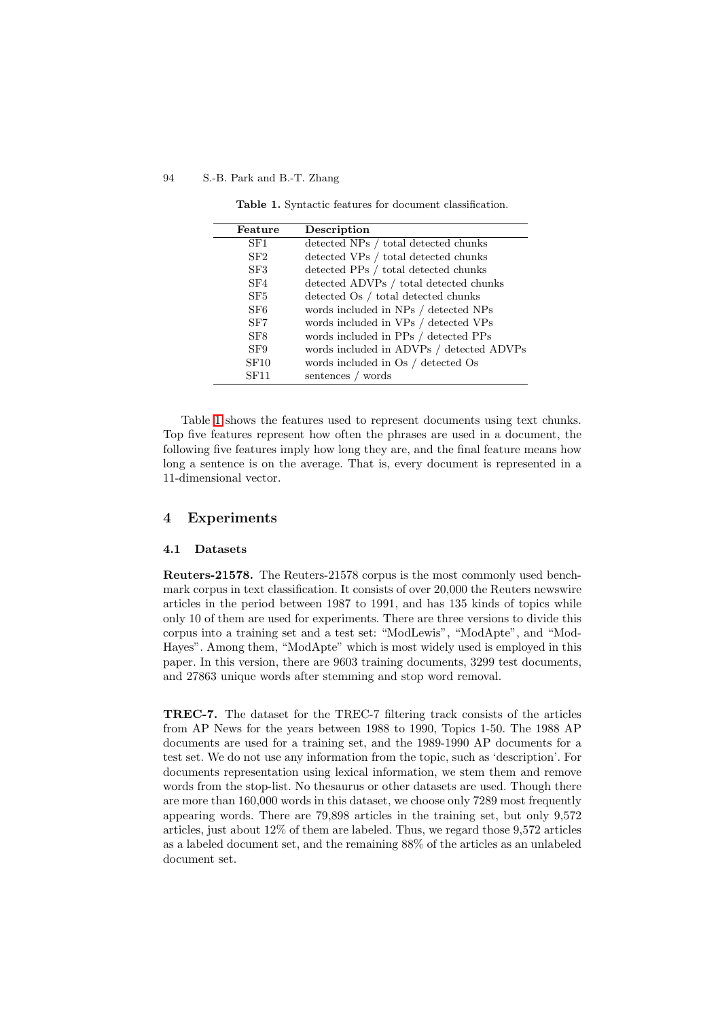| Feature         | Description                                |
|-----------------|--------------------------------------------|
| SF1             | detected NPs / total detected chunks       |
| SF2             | detected VPs / total detected chunks       |
| SF <sub>3</sub> | detected PPs / total detected chunks       |
| SF4             | detected ADVPs / total detected chunks     |
| SF <sub>5</sub> | detected Os / total detected chunks        |
| SF <sub>6</sub> | words included in NPs / detected NPs       |
| SF7             | words included in VPs / detected VPs       |
| SF <sub>8</sub> | words included in PPs / detected PPs       |
| SF9             | words included in ADVPs $/$ detected ADVPs |
| SF10            | words included in Os / detected Os         |
| SF11            | sentences / words                          |

**Table 1.** Syntactic features for document classification.

Table 1 shows the features used to represent documents using text chunks. Top five features represent how often the phrases are used in a document, the following five features imply how long they are, and the final feature means how long a sentence is on the average. That is, every document is represented in a 11-dimensional vector.

# **4 Experiments**

#### **4.1 Datasets**

**Reuters-21578.** The Reuters-21578 corpus is the most commonly used benchmark corpus in text classification. It consists of over 20,000 the Reuters newswire articles in the period between 1987 to 1991, and has 135 kinds of topics while only 10 of them are used for experiments. There are three versions to divide this corpus into a training set and a test set: "ModLewis", "ModApte", and "Mod-Hayes". Among them, "ModApte" which is most widely used is employed in this paper. In this version, there are 9603 training documents, 3299 test documents, and 27863 unique words after stemming and stop word removal.

**TREC-7.** The dataset for the TREC-7 filtering track consists of the articles from AP News for the years between 1988 to 1990, Topics 1-50. The 1988 AP documents are used for a training set, and the 1989-1990 AP documents for a test set. We do not use any information from the topic, such as 'description'. For documents representation using lexical information, we stem them and remove words from the stop-list. No thesaurus or other datasets are used. Though there are more than 160,000 words in this dataset, we choose only 7289 most frequently appearing words. There are 79,898 articles in the training set, but only 9,572 articles, just about 12% of them are labeled. Thus, we regard those 9,572 articles as a labeled document set, and the remaining 88% of the articles as an unlabeled document set.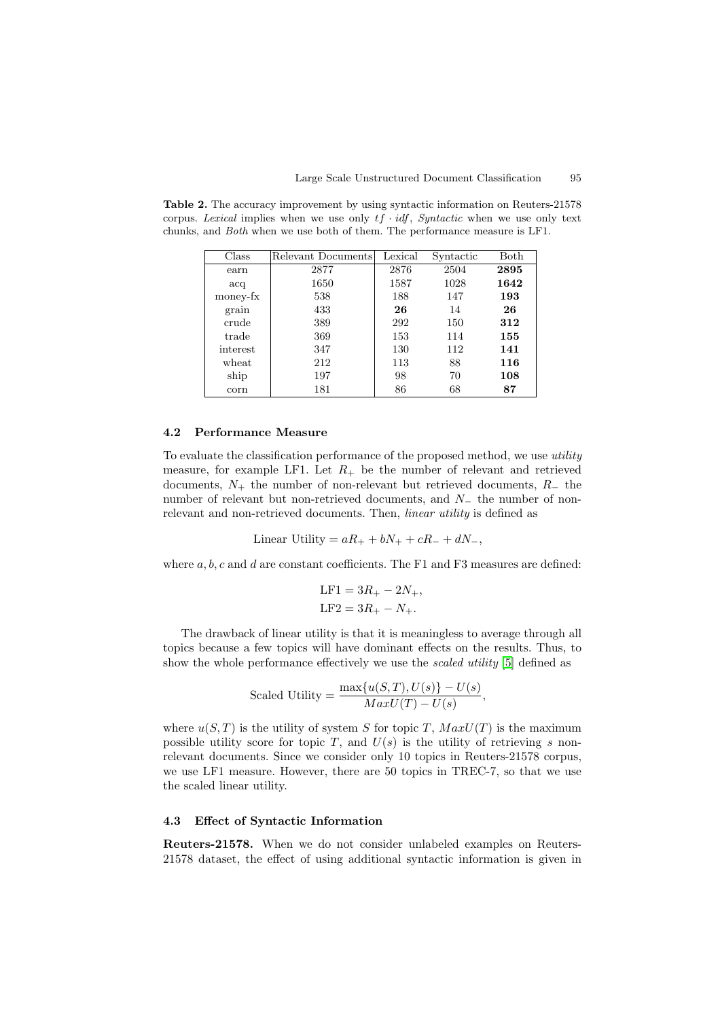| Class    | Relevant Documents | Lexical | Syntactic | Both |
|----------|--------------------|---------|-----------|------|
| earn     | 2877               | 2876    | 2504      | 2895 |
| acq      | 1650               | 1587    | 1028      | 1642 |
| money-fx | 538                | 188     | 147       | 193  |
| grain    | 433                | 26      | 14        | 26   |
| crude    | 389                | 292     | 150       | 312  |
| trade    | 369                | 153     | 114       | 155  |
| interest | 347                | 130     | 112       | 141  |
| wheat    | 212                | 113     | 88        | 116  |
| ship     | 197                | 98      | 70        | 108  |
| corn     | 181                | 86      | 68        | 87   |

<span id="page-7-0"></span>**Table 2.** The accuracy improvement by using syntactic information on Reuters-21578 corpus. Lexical implies when we use only  $tf \cdot idf$ , Syntactic when we use only text chunks, and Both when we use both of them. The performance measure is LF1.

#### **4.2 Performance Measure**

To evaluate the classification performance of the proposed method, we use *utility* measure, for example LF1. Let  $R_+$  be the number of relevant and retrieved documents,  $N_+$  the number of non-relevant but retrieved documents,  $R_-$  the number of relevant but non-retrieved documents, and <sup>N</sup><sup>−</sup> the number of nonrelevant and non-retrieved documents. Then, *linear utility* is defined as

Linear Utility =  $aR_+ + bN_+ + cR_- + dN_-,$ 

where  $a, b, c$  and  $d$  are constant coefficients. The F1 and F3 measures are defined:

$$
LF1 = 3R+ - 2N+,
$$
  

$$
LF2 = 3R+ - N+.
$$

The drawback of linear utility is that it is meaningless to average through all topics because a few topics will have dominant effects on the results. Thus, to show the whole performance effectively we use the *scaled utility* [\[5\]](#page-11-0) defined as

Scaled Utility = 
$$
\frac{\max\{u(S,T), U(s)\} - U(s)}{MaxU(T) - U(s)},
$$

where  $u(S,T)$  is the utility of system S for topic T,  $MaxU(T)$  is the maximum possible utility score for topic T, and  $U(s)$  is the utility of retrieving s nonrelevant documents. Since we consider only 10 topics in Reuters-21578 corpus, we use LF1 measure. However, there are 50 topics in TREC-7, so that we use the scaled linear utility.

#### **4.3 Effect of Syntactic Information**

**Reuters-21578.** When we do not consider unlabeled examples on Reuters-21578 dataset, the effect of using additional syntactic information is given in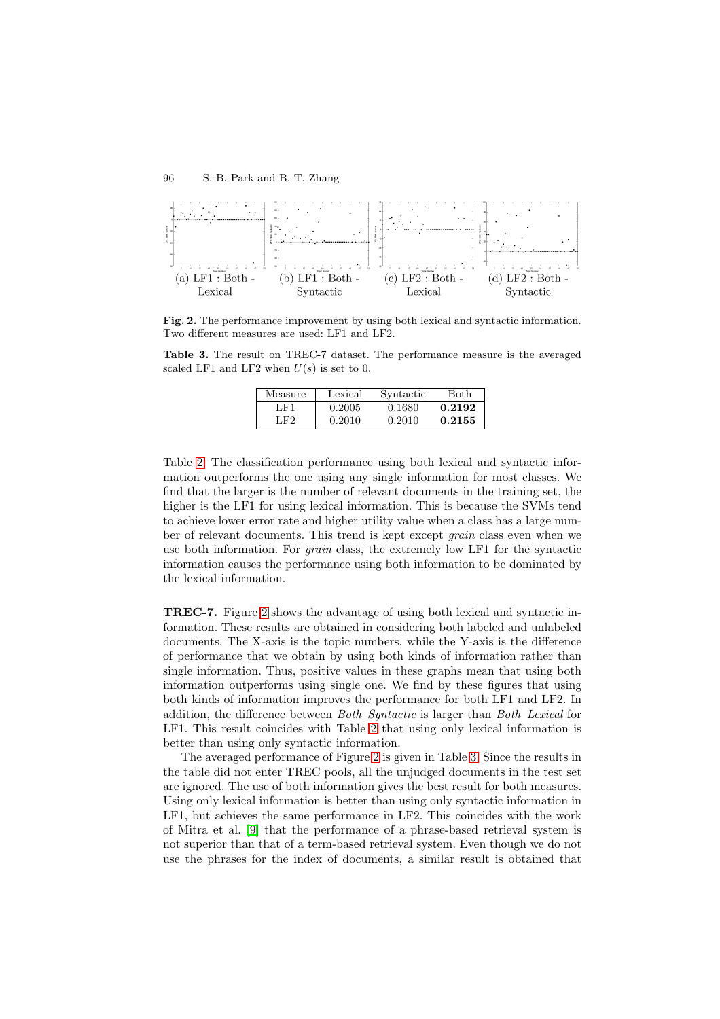

**Fig. 2.** The performance improvement by using both lexical and syntactic information. Two different measures are used: LF1 and LF2.

**Table 3.** The result on TREC-7 dataset. The performance measure is the averaged scaled LF1 and LF2 when  $U(s)$  is set to 0.

| LF1<br>0.2005<br>0.1680 | Both   | Syntactic | Lexical | Measure |
|-------------------------|--------|-----------|---------|---------|
|                         | 0.2192 |           |         |         |
| LF2<br>0.2010<br>0.2010 | 0.2155 |           |         |         |

Table [2.](#page-7-0) The classification performance using both lexical and syntactic information outperforms the one using any single information for most classes. We find that the larger is the number of relevant documents in the training set, the higher is the LF1 for using lexical information. This is because the SVMs tend to achieve lower error rate and higher utility value when a class has a large number of relevant documents. This trend is kept except *grain* class even when we use both information. For *grain* class, the extremely low LF1 for the syntactic information causes the performance using both information to be dominated by the lexical information.

**TREC-7.** Figure 2 shows the advantage of using both lexical and syntactic information. These results are obtained in considering both labeled and unlabeled documents. The X-axis is the topic numbers, while the Y-axis is the difference of performance that we obtain by using both kinds of information rather than single information. Thus, positive values in these graphs mean that using both information outperforms using single one. We find by these figures that using both kinds of information improves the performance for both LF1 and LF2. In addition, the difference between *Both–Syntactic* is larger than *Both–Lexical* for LF1. This result coincides with Table [2](#page-7-0) that using only lexical information is better than using only syntactic information.

The averaged performance of Figure 2 is given in Table 3. Since the results in the table did not enter TREC pools, all the unjudged documents in the test set are ignored. The use of both information gives the best result for both measures. Using only lexical information is better than using only syntactic information in LF1, but achieves the same performance in LF2. This coincides with the work of Mitra et al. [\[9\]](#page-11-0) that the performance of a phrase-based retrieval system is not superior than that of a term-based retrieval system. Even though we do not use the phrases for the index of documents, a similar result is obtained that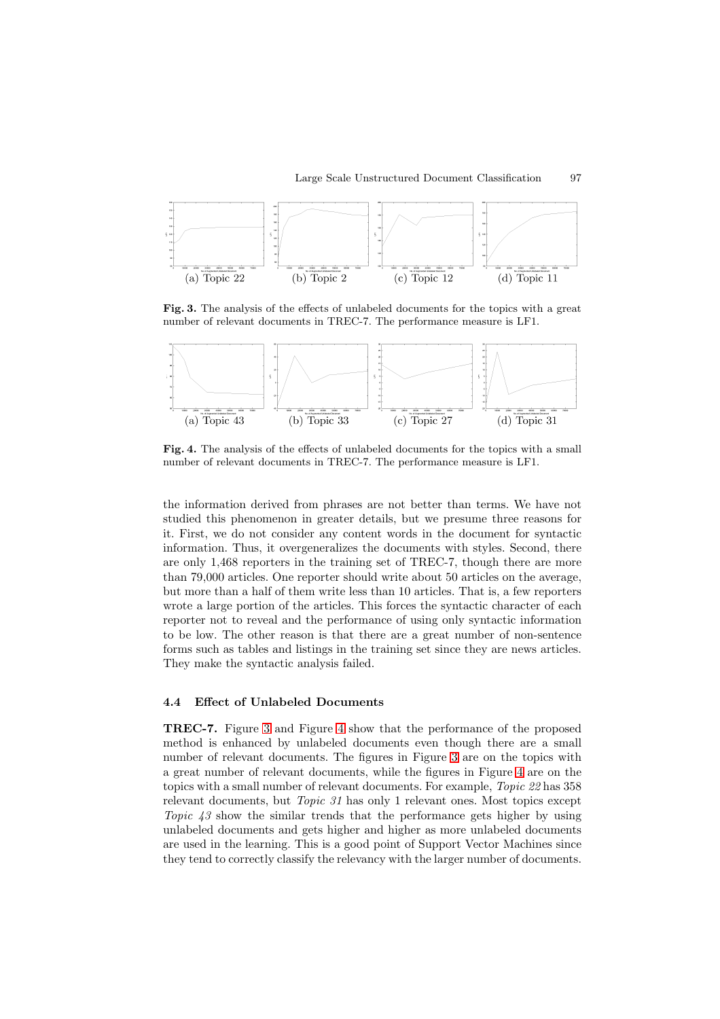

**Fig. 3.** The analysis of the effects of unlabeled documents for the topics with a great number of relevant documents in TREC-7. The performance measure is LF1.



**Fig. 4.** The analysis of the effects of unlabeled documents for the topics with a small number of relevant documents in TREC-7. The performance measure is LF1.

the information derived from phrases are not better than terms. We have not studied this phenomenon in greater details, but we presume three reasons for it. First, we do not consider any content words in the document for syntactic information. Thus, it overgeneralizes the documents with styles. Second, there are only 1,468 reporters in the training set of TREC-7, though there are more than 79,000 articles. One reporter should write about 50 articles on the average, but more than a half of them write less than 10 articles. That is, a few reporters wrote a large portion of the articles. This forces the syntactic character of each reporter not to reveal and the performance of using only syntactic information to be low. The other reason is that there are a great number of non-sentence forms such as tables and listings in the training set since they are news articles. They make the syntactic analysis failed.

#### **4.4 Effect of Unlabeled Documents**

**TREC-7.** Figure 3 and Figure 4 show that the performance of the proposed method is enhanced by unlabeled documents even though there are a small number of relevant documents. The figures in Figure 3 are on the topics with a great number of relevant documents, while the figures in Figure 4 are on the topics with a small number of relevant documents. For example, *Topic 22* has 358 relevant documents, but *Topic 31* has only 1 relevant ones. Most topics except *Topic 43* show the similar trends that the performance gets higher by using unlabeled documents and gets higher and higher as more unlabeled documents are used in the learning. This is a good point of Support Vector Machines since they tend to correctly classify the relevancy with the larger number of documents.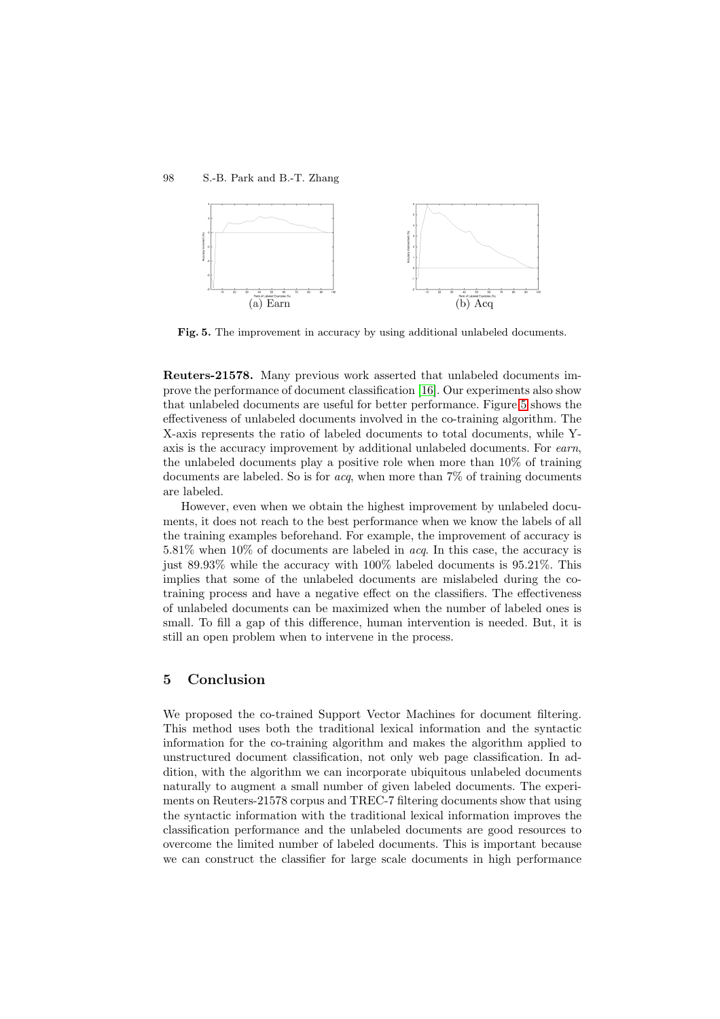<span id="page-10-0"></span>

**Fig. 5.** The improvement in accuracy by using additional unlabeled documents.

**Reuters-21578.** Many previous work asserted that unlabeled documents improve the performance of document classification [\[16\]](#page-11-0). Our experiments also show that unlabeled documents are useful for better performance. Figure 5 shows the effectiveness of unlabeled documents involved in the co-training algorithm. The X-axis represents the ratio of labeled documents to total documents, while Yaxis is the accuracy improvement by additional unlabeled documents. For *earn*, the unlabeled documents play a positive role when more than 10% of training documents are labeled. So is for *acq*, when more than 7% of training documents are labeled.

However, even when we obtain the highest improvement by unlabeled documents, it does not reach to the best performance when we know the labels of all the training examples beforehand. For example, the improvement of accuracy is 5.81% when 10% of documents are labeled in *acq*. In this case, the accuracy is just 89.93% while the accuracy with 100% labeled documents is 95.21%. This implies that some of the unlabeled documents are mislabeled during the cotraining process and have a negative effect on the classifiers. The effectiveness of unlabeled documents can be maximized when the number of labeled ones is small. To fill a gap of this difference, human intervention is needed. But, it is still an open problem when to intervene in the process.

### **5 Conclusion**

We proposed the co-trained Support Vector Machines for document filtering. This method uses both the traditional lexical information and the syntactic information for the co-training algorithm and makes the algorithm applied to unstructured document classification, not only web page classification. In addition, with the algorithm we can incorporate ubiquitous unlabeled documents naturally to augment a small number of given labeled documents. The experiments on Reuters-21578 corpus and TREC-7 filtering documents show that using the syntactic information with the traditional lexical information improves the classification performance and the unlabeled documents are good resources to overcome the limited number of labeled documents. This is important because we can construct the classifier for large scale documents in high performance